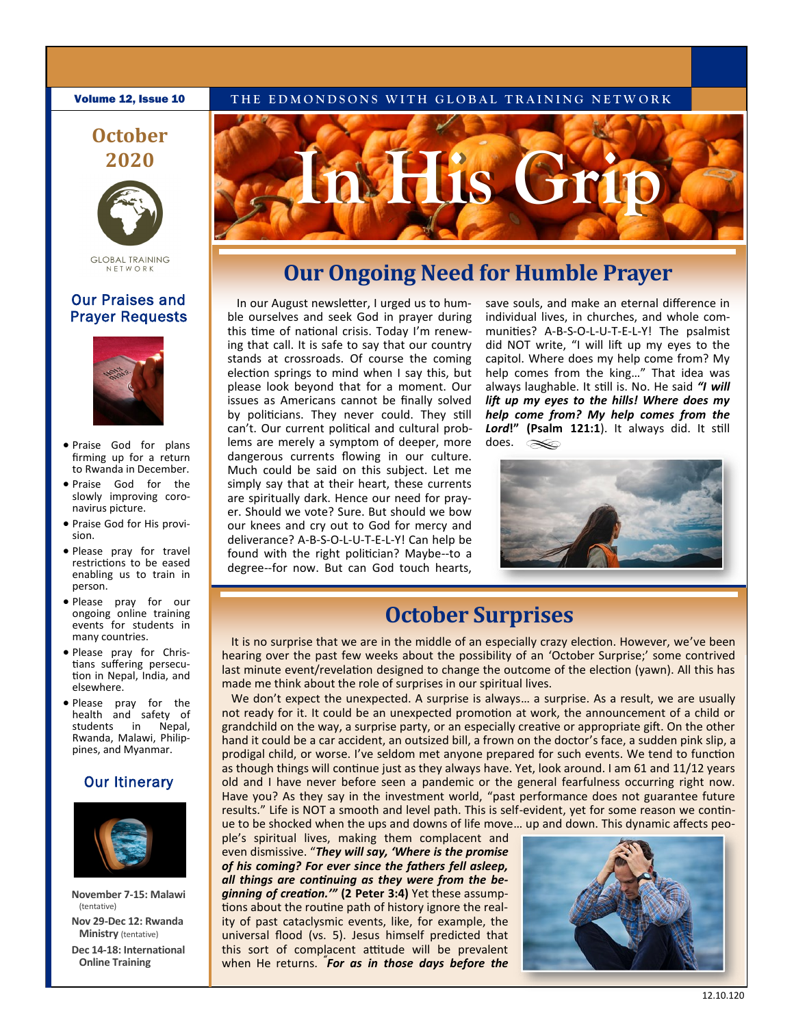**Volume 12, Issue 10** THE EDMONDSONS WITH GLOBAL TRAINING NETWORK

## **October 2020**



**GLOBAL TRAINING** NETWORK

#### Our Praises and Prayer Requests



- Praise God for plans firming up for a return to Rwanda in December.
- Praise God for the slowly improving coronavirus picture.
- Praise God for His provision.
- Please pray for travel restrictions to be eased enabling us to train in person.
- Please pray for our ongoing online training events for students in many countries.
- Please pray for Christians suffering persecution in Nepal, India, and elsewhere.
- Please pray for the health and safety of students in Nepal, Rwanda, Malawi, Philippines, and Myanmar.

### **Our Itinerary**



**November 7-15: Malawi**  (tentative)

**Nov 29-Dec 12: Rwanda Ministry** (tentative)

**Dec 14-18: International Online Training** 



## **Our Ongoing Need for Humble Prayer**

In our August newsletter, I urged us to humble ourselves and seek God in prayer during this time of national crisis. Today I'm renewing that call. It is safe to say that our country stands at crossroads. Of course the coming election springs to mind when I say this, but please look beyond that for a moment. Our issues as Americans cannot be finally solved by politicians. They never could. They still can't. Our current political and cultural problems are merely a symptom of deeper, more dangerous currents flowing in our culture. Much could be said on this subject. Let me simply say that at their heart, these currents are spiritually dark. Hence our need for prayer. Should we vote? Sure. But should we bow our knees and cry out to God for mercy and deliverance? A-B-S-O-L-U-T-E-L-Y! Can help be found with the right politician? Maybe--to a degree--for now. But can God touch hearts,

save souls, and make an eternal difference in individual lives, in churches, and whole communities? A-B-S-O-L-U-T-E-L-Y! The psalmist did NOT write, "I will lift up my eyes to the capitol. Where does my help come from? My help comes from the king…" That idea was always laughable. It still is. No. He said *"I will lift up my eyes to the hills! Where does my help come from? My help comes from the Lord***!" (Psalm 121:1**). It always did. It still does. $\infty$ 



## **October Surprises**

It is no surprise that we are in the middle of an especially crazy election. However, we've been hearing over the past few weeks about the possibility of an 'October Surprise;' some contrived last minute event/revelation designed to change the outcome of the election (yawn). All this has made me think about the role of surprises in our spiritual lives.

We don't expect the unexpected. A surprise is always... a surprise. As a result, we are usually not ready for it. It could be an unexpected promotion at work, the announcement of a child or grandchild on the way, a surprise party, or an especially creative or appropriate gift. On the other hand it could be a car accident, an outsized bill, a frown on the doctor's face, a sudden pink slip, a prodigal child, or worse. I've seldom met anyone prepared for such events. We tend to function as though things will continue just as they always have. Yet, look around. I am 61 and 11/12 years old and I have never before seen a pandemic or the general fearfulness occurring right now. Have you? As they say in the investment world, "past performance does not guarantee future results." Life is NOT a smooth and level path. This is self-evident, yet for some reason we continue to be shocked when the ups and downs of life move… up and down. This dynamic affects peo-

ple's spiritual lives, making them complacent and even dismissive. "*They will say, 'Where is the promise of his coming? For ever since the fathers fell asleep, all things are continuing as they were from the beginning of creation.'"* **(2 Peter 3:4)** Yet these assumptions about the routine path of history ignore the reality of past cataclysmic events, like, for example, the universal flood (vs. 5). Jesus himself predicted that this sort of complacent attitude will be prevalent when He returns. *" For as in those days before the*